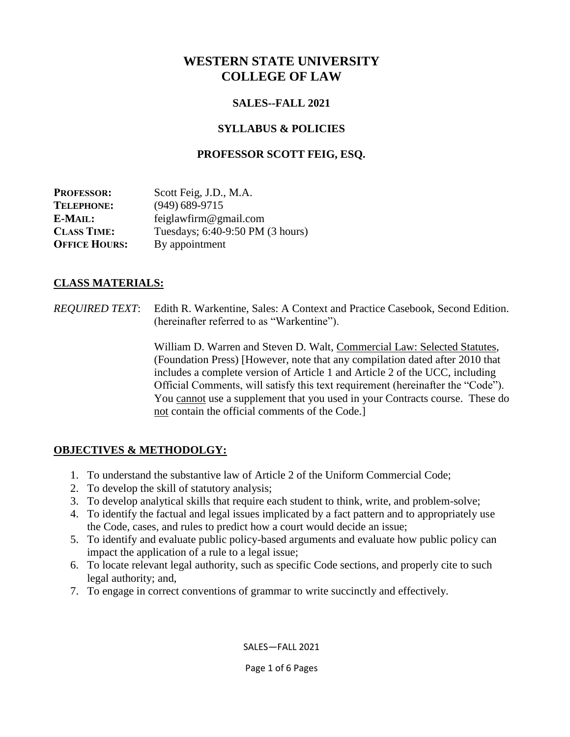# **WESTERN STATE UNIVERSITY COLLEGE OF LAW**

## **SALES--FALL 2021**

# **SYLLABUS & POLICIES**

## **PROFESSOR SCOTT FEIG, ESQ.**

| <b>PROFESSOR:</b>    | Scott Feig, J.D., M.A.           |
|----------------------|----------------------------------|
| <b>TELEPHONE:</b>    | $(949)$ 689-9715                 |
| E-MAIL:              | feiglawfirm@gmail.com            |
| <b>CLASS TIME:</b>   | Tuesdays; 6:40-9:50 PM (3 hours) |
| <b>OFFICE HOURS:</b> | By appointment                   |

## **CLASS MATERIALS:**

*REQUIRED TEXT*: Edith R. Warkentine, Sales: A Context and Practice Casebook, Second Edition. (hereinafter referred to as "Warkentine").

> William D. Warren and Steven D. Walt, Commercial Law: Selected Statutes, (Foundation Press) [However, note that any compilation dated after 2010 that includes a complete version of Article 1 and Article 2 of the UCC, including Official Comments, will satisfy this text requirement (hereinafter the "Code"). You cannot use a supplement that you used in your Contracts course. These do not contain the official comments of the Code.]

# **OBJECTIVES & METHODOLGY:**

- 1. To understand the substantive law of Article 2 of the Uniform Commercial Code;
- 2. To develop the skill of statutory analysis;
- 3. To develop analytical skills that require each student to think, write, and problem-solve;
- 4. To identify the factual and legal issues implicated by a fact pattern and to appropriately use the Code, cases, and rules to predict how a court would decide an issue;
- 5. To identify and evaluate public policy-based arguments and evaluate how public policy can impact the application of a rule to a legal issue;
- 6. To locate relevant legal authority, such as specific Code sections, and properly cite to such legal authority; and,
- 7. To engage in correct conventions of grammar to write succinctly and effectively.

SALES—FALL 2021

Page 1 of 6 Pages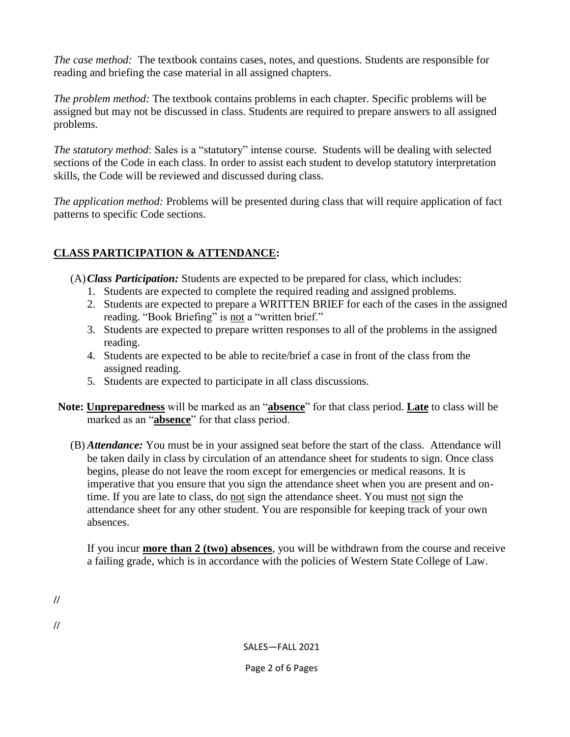*The case method:* The textbook contains cases, notes, and questions. Students are responsible for reading and briefing the case material in all assigned chapters.

*The problem method:* The textbook contains problems in each chapter. Specific problems will be assigned but may not be discussed in class. Students are required to prepare answers to all assigned problems.

*The statutory method*: Sales is a "statutory" intense course. Students will be dealing with selected sections of the Code in each class. In order to assist each student to develop statutory interpretation skills, the Code will be reviewed and discussed during class.

*The application method:* Problems will be presented during class that will require application of fact patterns to specific Code sections.

# **CLASS PARTICIPATION & ATTENDANCE:**

(A)*Class Participation:* Students are expected to be prepared for class, which includes:

- 1. Students are expected to complete the required reading and assigned problems.
- 2. Students are expected to prepare a WRITTEN BRIEF for each of the cases in the assigned reading. "Book Briefing" is not a "written brief."
- 3. Students are expected to prepare written responses to all of the problems in the assigned reading.
- 4. Students are expected to be able to recite/brief a case in front of the class from the assigned reading.
- 5. Students are expected to participate in all class discussions.
- **Note: Unpreparedness** will be marked as an "**absence**" for that class period. **Late** to class will be marked as an "**absence**" for that class period.
	- (B) *Attendance:* You must be in your assigned seat before the start of the class. Attendance will be taken daily in class by circulation of an attendance sheet for students to sign. Once class begins, please do not leave the room except for emergencies or medical reasons. It is imperative that you ensure that you sign the attendance sheet when you are present and ontime. If you are late to class, do not sign the attendance sheet. You must not sign the attendance sheet for any other student. You are responsible for keeping track of your own absences.

If you incur **more than 2 (two) absences**, you will be withdrawn from the course and receive a failing grade, which is in accordance with the policies of Western State College of Law.

**//**

**//**

SALES—FALL 2021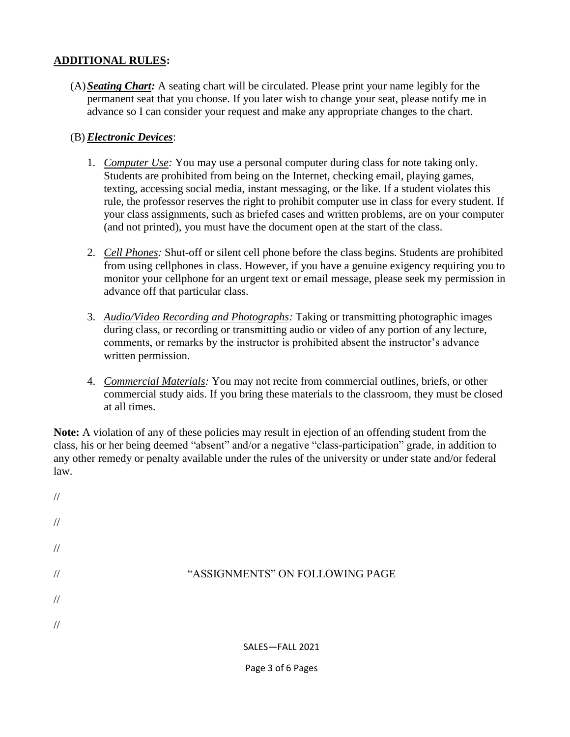#### **ADDITIONAL RULES:**

(A)*Seating Chart:* A seating chart will be circulated. Please print your name legibly for the permanent seat that you choose. If you later wish to change your seat, please notify me in advance so I can consider your request and make any appropriate changes to the chart.

#### (B) *Electronic Devices*:

- 1. *Computer Use:* You may use a personal computer during class for note taking only. Students are prohibited from being on the Internet, checking email, playing games, texting, accessing social media, instant messaging, or the like. If a student violates this rule, the professor reserves the right to prohibit computer use in class for every student. If your class assignments, such as briefed cases and written problems, are on your computer (and not printed), you must have the document open at the start of the class.
- 2. *Cell Phones:* Shut-off or silent cell phone before the class begins. Students are prohibited from using cellphones in class. However, if you have a genuine exigency requiring you to monitor your cellphone for an urgent text or email message, please seek my permission in advance off that particular class.
- 3. *Audio/Video Recording and Photographs:* Taking or transmitting photographic images during class, or recording or transmitting audio or video of any portion of any lecture, comments, or remarks by the instructor is prohibited absent the instructor's advance written permission.
- 4. *Commercial Materials:* You may not recite from commercial outlines, briefs, or other commercial study aids. If you bring these materials to the classroom, they must be closed at all times.

**Note:** A violation of any of these policies may result in ejection of an offending student from the class, his or her being deemed "absent" and/or a negative "class-participation" grade, in addition to any other remedy or penalty available under the rules of the university or under state and/or federal law.

| $\frac{1}{2}$ |                                 |
|---------------|---------------------------------|
| $\frac{1}{2}$ |                                 |
| $\sqrt{}$     |                                 |
| $\frac{1}{2}$ | "ASSIGNMENTS" ON FOLLOWING PAGE |
| $\frac{1}{2}$ |                                 |
| $\frac{1}{2}$ |                                 |
|               | SALES-FALL 2021                 |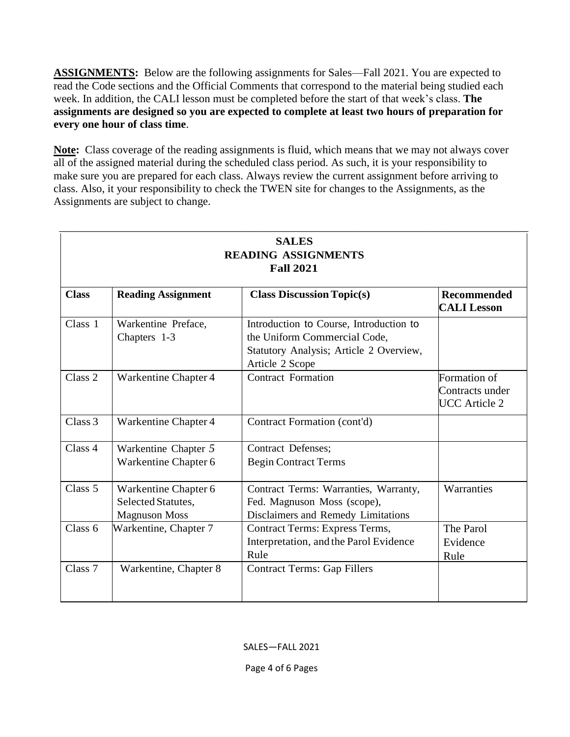**ASSIGNMENTS:** Below are the following assignments for Sales—Fall 2021. You are expected to read the Code sections and the Official Comments that correspond to the material being studied each week. In addition, the CALI lesson must be completed before the start of that week's class. **The assignments are designed so you are expected to complete at least two hours of preparation for every one hour of class time**.

**Note:** Class coverage of the reading assignments is fluid, which means that we may not always cover all of the assigned material during the scheduled class period. As such, it is your responsibility to make sure you are prepared for each class. Always review the current assignment before arriving to class. Also, it your responsibility to check the TWEN site for changes to the Assignments, as the Assignments are subject to change.

| <b>SALES</b><br><b>READING ASSIGNMENTS</b><br><b>Fall 2021</b> |                                                                    |                                                                                                                                       |                                                         |  |  |
|----------------------------------------------------------------|--------------------------------------------------------------------|---------------------------------------------------------------------------------------------------------------------------------------|---------------------------------------------------------|--|--|
| <b>Class</b>                                                   | <b>Reading Assignment</b>                                          | <b>Class Discussion Topic(s)</b>                                                                                                      | <b>Recommended</b><br><b>CALI Lesson</b>                |  |  |
| Class 1                                                        | Warkentine Preface,<br>Chapters 1-3                                | Introduction to Course, Introduction to<br>the Uniform Commercial Code,<br>Statutory Analysis; Article 2 Overview,<br>Article 2 Scope |                                                         |  |  |
| Class 2                                                        | Warkentine Chapter 4                                               | <b>Contract Formation</b>                                                                                                             | Formation of<br>Contracts under<br><b>UCC</b> Article 2 |  |  |
| Class 3                                                        | Warkentine Chapter 4                                               | Contract Formation (cont'd)                                                                                                           |                                                         |  |  |
| Class 4                                                        | Warkentine Chapter 5<br>Warkentine Chapter 6                       | <b>Contract Defenses;</b><br><b>Begin Contract Terms</b>                                                                              |                                                         |  |  |
| Class 5                                                        | Warkentine Chapter 6<br>Selected Statutes,<br><b>Magnuson Moss</b> | Contract Terms: Warranties, Warranty,<br>Fed. Magnuson Moss (scope),<br>Disclaimers and Remedy Limitations                            | Warranties                                              |  |  |
| Class 6                                                        | Warkentine, Chapter 7                                              | Contract Terms: Express Terms,<br>Interpretation, and the Parol Evidence<br>Rule                                                      | The Parol<br>Evidence<br>Rule                           |  |  |
| Class <sub>7</sub>                                             | Warkentine, Chapter 8                                              | <b>Contract Terms: Gap Fillers</b>                                                                                                    |                                                         |  |  |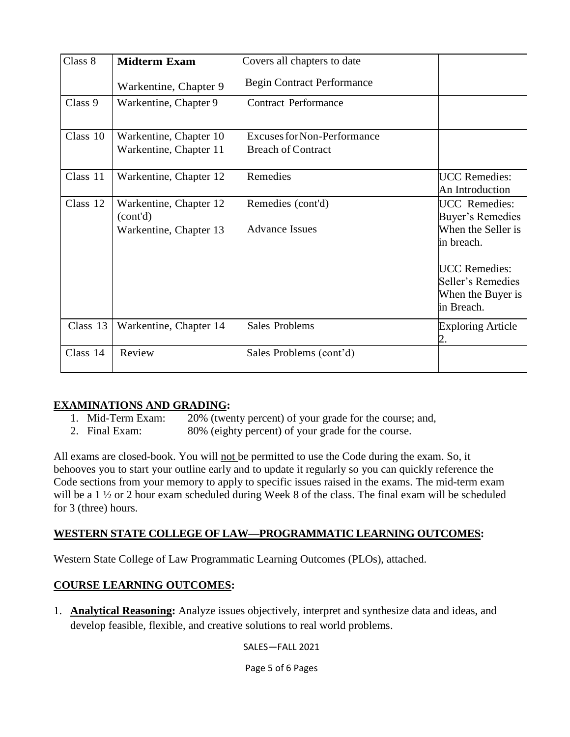| Class 8  | <b>Midterm Exam</b>                                          | Covers all chapters to date                                     |                                                                                                                                                              |
|----------|--------------------------------------------------------------|-----------------------------------------------------------------|--------------------------------------------------------------------------------------------------------------------------------------------------------------|
|          | Warkentine, Chapter 9                                        | <b>Begin Contract Performance</b>                               |                                                                                                                                                              |
| Class 9  | Warkentine, Chapter 9                                        | <b>Contract Performance</b>                                     |                                                                                                                                                              |
| Class 10 | Warkentine, Chapter 10<br>Warkentine, Chapter 11             | <b>Excuses for Non-Performance</b><br><b>Breach of Contract</b> |                                                                                                                                                              |
| Class 11 | Warkentine, Chapter 12                                       | Remedies                                                        | <b>UCC</b> Remedies:<br>An Introduction                                                                                                                      |
| Class 12 | Warkentine, Chapter 12<br>(cont'd)<br>Warkentine, Chapter 13 | Remedies (cont'd)<br><b>Advance Issues</b>                      | <b>UCC</b> Remedies:<br>Buyer's Remedies<br>When the Seller is<br>in breach.<br><b>UCC</b> Remedies:<br>Seller's Remedies<br>When the Buyer is<br>in Breach. |
| Class 13 | Warkentine, Chapter 14                                       | <b>Sales Problems</b>                                           | <b>Exploring Article</b>                                                                                                                                     |
| Class 14 | Review                                                       | Sales Problems (cont'd)                                         |                                                                                                                                                              |

# **EXAMINATIONS AND GRADING:**<br>1. Mid-Term Exam: 20% (twen

- 20% (twenty percent) of your grade for the course; and,
- 2. Final Exam: 80% (eighty percent) of your grade for the course.

All exams are closed-book. You will not be permitted to use the Code during the exam. So, it behooves you to start your outline early and to update it regularly so you can quickly reference the Code sections from your memory to apply to specific issues raised in the exams. The mid-term exam will be a 1  $\frac{1}{2}$  or 2 hour exam scheduled during Week 8 of the class. The final exam will be scheduled for 3 (three) hours.

## **WESTERN STATE COLLEGE OF LAW—PROGRAMMATIC LEARNING OUTCOMES:**

Western State College of Law Programmatic Learning Outcomes (PLOs), attached.

### **COURSE LEARNING OUTCOMES:**

1. **Analytical Reasoning:** Analyze issues objectively, interpret and synthesize data and ideas, and develop feasible, flexible, and creative solutions to real world problems.

SALES—FALL 2021

Page 5 of 6 Pages